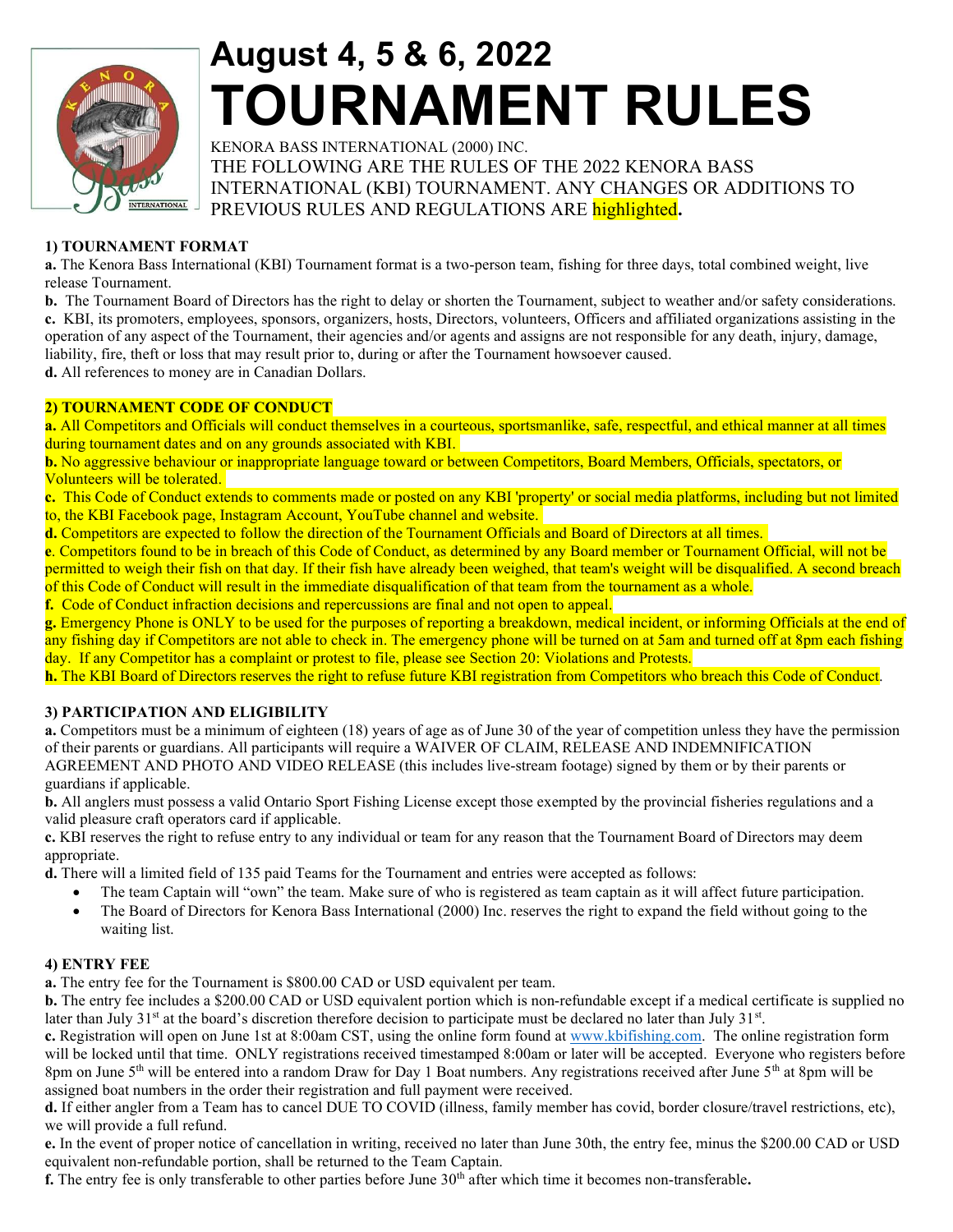

# August 4, 5 & 6, 2022 TOURNAMENT RULES

KENORA BASS INTERNATIONAL (2000) INC. THE FOLLOWING ARE THE RULES OF THE 2022 KENORA BASS INTERNATIONAL (KBI) TOURNAMENT. ANY CHANGES OR ADDITIONS TO PREVIOUS RULES AND REGULATIONS ARE highlighted.

# 1) TOURNAMENT FORMAT

a. The Kenora Bass International (KBI) Tournament format is a two-person team, fishing for three days, total combined weight, live release Tournament.

b. The Tournament Board of Directors has the right to delay or shorten the Tournament, subject to weather and/or safety considerations. c. KBI, its promoters, employees, sponsors, organizers, hosts, Directors, volunteers, Officers and affiliated organizations assisting in the operation of any aspect of the Tournament, their agencies and/or agents and assigns are not responsible for any death, injury, damage, liability, fire, theft or loss that may result prior to, during or after the Tournament howsoever caused.

d. All references to money are in Canadian Dollars.

#### 2) TOURNAMENT CODE OF CONDUCT

a. All Competitors and Officials will conduct themselves in a courteous, sportsmanlike, safe, respectful, and ethical manner at all times during tournament dates and on any grounds associated with KBI.

b. No aggressive behaviour or inappropriate language toward or between Competitors, Board Members, Officials, spectators, or Volunteers will be tolerated.

c. This Code of Conduct extends to comments made or posted on any KBI 'property' or social media platforms, including but not limited to, the KBI Facebook page, Instagram Account, YouTube channel and website.

d. Competitors are expected to follow the direction of the Tournament Officials and Board of Directors at all times.

e. Competitors found to be in breach of this Code of Conduct, as determined by any Board member or Tournament Official, will not be permitted to weigh their fish on that day. If their fish have already been weighed, that team's weight will be disqualified. A second breach of this Code of Conduct will result in the immediate disqualification of that team from the tournament as a whole.

f. Code of Conduct infraction decisions and repercussions are final and not open to appeal.

g. Emergency Phone is ONLY to be used for the purposes of reporting a breakdown, medical incident, or informing Officials at the end of any fishing day if Competitors are not able to check in. The emergency phone will be turned on at 5am and turned off at 8pm each fishing day. If any Competitor has a complaint or protest to file, please see Section 20: Violations and Protests.

h. The KBI Board of Directors reserves the right to refuse future KBI registration from Competitors who breach this Code of Conduct.

#### 3) PARTICIPATION AND ELIGIBILITY

a. Competitors must be a minimum of eighteen (18) years of age as of June 30 of the year of competition unless they have the permission of their parents or guardians. All participants will require a WAIVER OF CLAIM, RELEASE AND INDEMNIFICATION AGREEMENT AND PHOTO AND VIDEO RELEASE (this includes live-stream footage) signed by them or by their parents or guardians if applicable.

b. All anglers must possess a valid Ontario Sport Fishing License except those exempted by the provincial fisheries regulations and a valid pleasure craft operators card if applicable.

c. KBI reserves the right to refuse entry to any individual or team for any reason that the Tournament Board of Directors may deem appropriate.

d. There will a limited field of 135 paid Teams for the Tournament and entries were accepted as follows:

- The team Captain will "own" the team. Make sure of who is registered as team captain as it will affect future participation.
- The Board of Directors for Kenora Bass International (2000) Inc. reserves the right to expand the field without going to the waiting list.

#### 4) ENTRY FEE

a. The entry fee for the Tournament is \$800.00 CAD or USD equivalent per team.

b. The entry fee includes a \$200.00 CAD or USD equivalent portion which is non-refundable except if a medical certificate is supplied no later than July  $31<sup>st</sup>$  at the board's discretion therefore decision to participate must be declared no later than July  $31<sup>st</sup>$ .

c. Registration will open on June 1st at 8:00am CST, using the online form found at www.kbifishing.com. The online registration form will be locked until that time. ONLY registrations received timestamped 8:00am or later will be accepted. Everyone who registers before 8pm on June  $5<sup>th</sup>$  will be entered into a random Draw for Day 1 Boat numbers. Any registrations received after June  $5<sup>th</sup>$  at 8pm will be assigned boat numbers in the order their registration and full payment were received.

d. If either angler from a Team has to cancel DUE TO COVID (illness, family member has covid, border closure/travel restrictions, etc), we will provide a full refund.

e. In the event of proper notice of cancellation in writing, received no later than June 30th, the entry fee, minus the \$200.00 CAD or USD equivalent non-refundable portion, shall be returned to the Team Captain.

f. The entry fee is only transferable to other parties before June  $30<sup>th</sup>$  after which time it becomes non-transferable.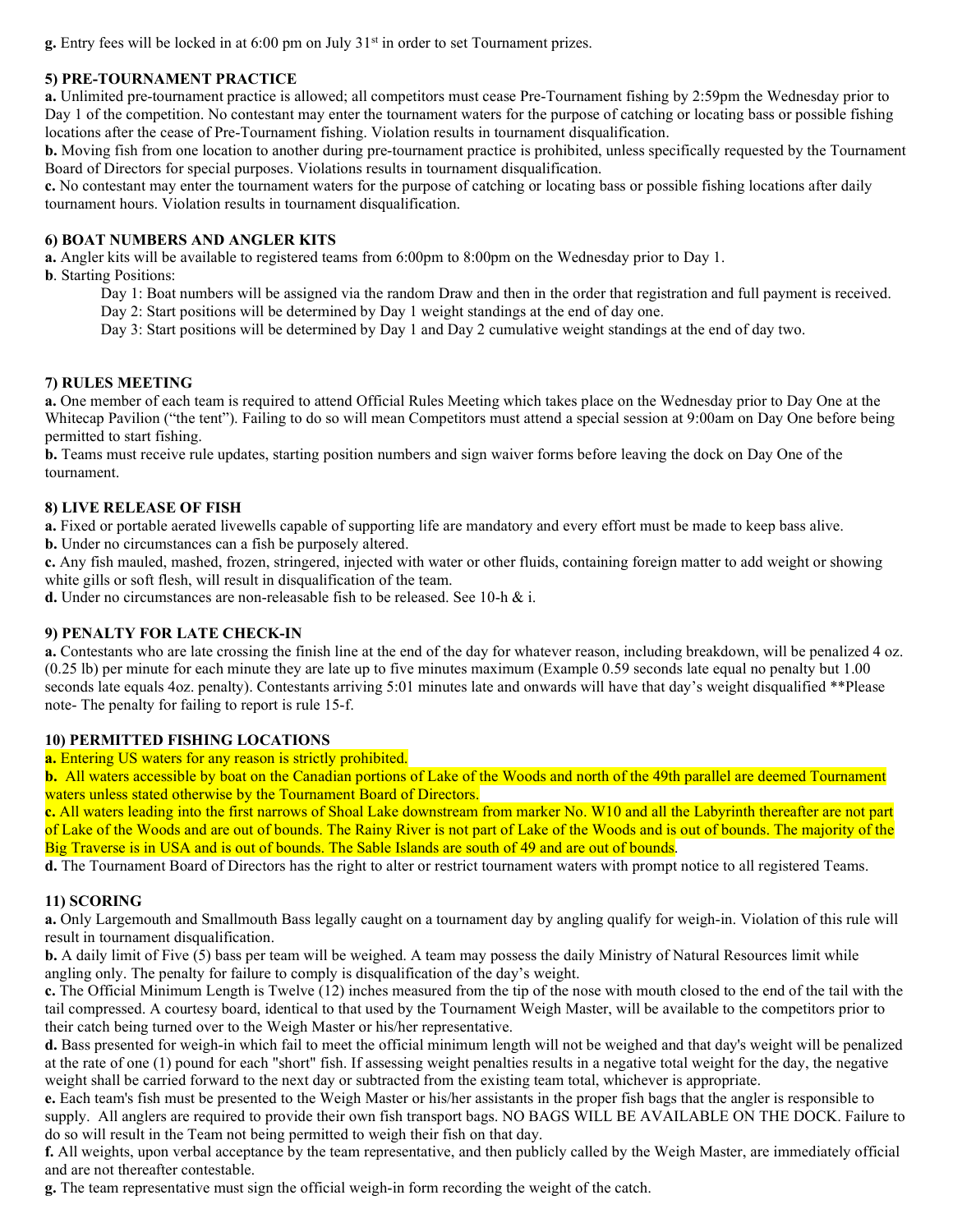$g$ . Entry fees will be locked in at 6:00 pm on July  $31<sup>st</sup>$  in order to set Tournament prizes.

# 5) PRE-TOURNAMENT PRACTICE

a. Unlimited pre-tournament practice is allowed; all competitors must cease Pre-Tournament fishing by 2:59pm the Wednesday prior to Day 1 of the competition. No contestant may enter the tournament waters for the purpose of catching or locating bass or possible fishing locations after the cease of Pre-Tournament fishing. Violation results in tournament disqualification.

b. Moving fish from one location to another during pre-tournament practice is prohibited, unless specifically requested by the Tournament Board of Directors for special purposes. Violations results in tournament disqualification.

c. No contestant may enter the tournament waters for the purpose of catching or locating bass or possible fishing locations after daily tournament hours. Violation results in tournament disqualification.

#### 6) BOAT NUMBERS AND ANGLER KITS

a. Angler kits will be available to registered teams from 6:00pm to 8:00pm on the Wednesday prior to Day 1.

b. Starting Positions:

Day 1: Boat numbers will be assigned via the random Draw and then in the order that registration and full payment is received.

Day 2: Start positions will be determined by Day 1 weight standings at the end of day one.

Day 3: Start positions will be determined by Day 1 and Day 2 cumulative weight standings at the end of day two.

# 7) RULES MEETING

a. One member of each team is required to attend Official Rules Meeting which takes place on the Wednesday prior to Day One at the Whitecap Pavilion ("the tent"). Failing to do so will mean Competitors must attend a special session at 9:00am on Day One before being permitted to start fishing.

b. Teams must receive rule updates, starting position numbers and sign waiver forms before leaving the dock on Day One of the tournament.

# 8) LIVE RELEASE OF FISH

a. Fixed or portable aerated livewells capable of supporting life are mandatory and every effort must be made to keep bass alive.

b. Under no circumstances can a fish be purposely altered.

c. Any fish mauled, mashed, frozen, stringered, injected with water or other fluids, containing foreign matter to add weight or showing white gills or soft flesh, will result in disqualification of the team.

d. Under no circumstances are non-releasable fish to be released. See 10-h & i.

# 9) PENALTY FOR LATE CHECK-IN

a. Contestants who are late crossing the finish line at the end of the day for whatever reason, including breakdown, will be penalized 4 oz. (0.25 lb) per minute for each minute they are late up to five minutes maximum (Example 0.59 seconds late equal no penalty but 1.00 seconds late equals 4oz. penalty). Contestants arriving 5:01 minutes late and onwards will have that day's weight disqualified \*\*Please note- The penalty for failing to report is rule 15-f.

#### 10) PERMITTED FISHING LOCATIONS

a. Entering US waters for any reason is strictly prohibited.

b. All waters accessible by boat on the Canadian portions of Lake of the Woods and north of the 49th parallel are deemed Tournament waters unless stated otherwise by the Tournament Board of Directors.

c. All waters leading into the first narrows of Shoal Lake downstream from marker No. W10 and all the Labyrinth thereafter are not part of Lake of the Woods and are out of bounds. The Rainy River is not part of Lake of the Woods and is out of bounds. The majority of the Big Traverse is in USA and is out of bounds. The Sable Islands are south of 49 and are out of bounds.

d. The Tournament Board of Directors has the right to alter or restrict tournament waters with prompt notice to all registered Teams.

#### 11) SCORING

a. Only Largemouth and Smallmouth Bass legally caught on a tournament day by angling qualify for weigh-in. Violation of this rule will result in tournament disqualification.

**b.** A daily limit of Five (5) bass per team will be weighed. A team may possess the daily Ministry of Natural Resources limit while angling only. The penalty for failure to comply is disqualification of the day's weight.

c. The Official Minimum Length is Twelve (12) inches measured from the tip of the nose with mouth closed to the end of the tail with the tail compressed. A courtesy board, identical to that used by the Tournament Weigh Master, will be available to the competitors prior to their catch being turned over to the Weigh Master or his/her representative.

d. Bass presented for weigh-in which fail to meet the official minimum length will not be weighed and that day's weight will be penalized at the rate of one (1) pound for each "short" fish. If assessing weight penalties results in a negative total weight for the day, the negative weight shall be carried forward to the next day or subtracted from the existing team total, whichever is appropriate.

e. Each team's fish must be presented to the Weigh Master or his/her assistants in the proper fish bags that the angler is responsible to supply. All anglers are required to provide their own fish transport bags. NO BAGS WILL BE AVAILABLE ON THE DOCK. Failure to do so will result in the Team not being permitted to weigh their fish on that day.

f. All weights, upon verbal acceptance by the team representative, and then publicly called by the Weigh Master, are immediately official and are not thereafter contestable.

g. The team representative must sign the official weigh-in form recording the weight of the catch.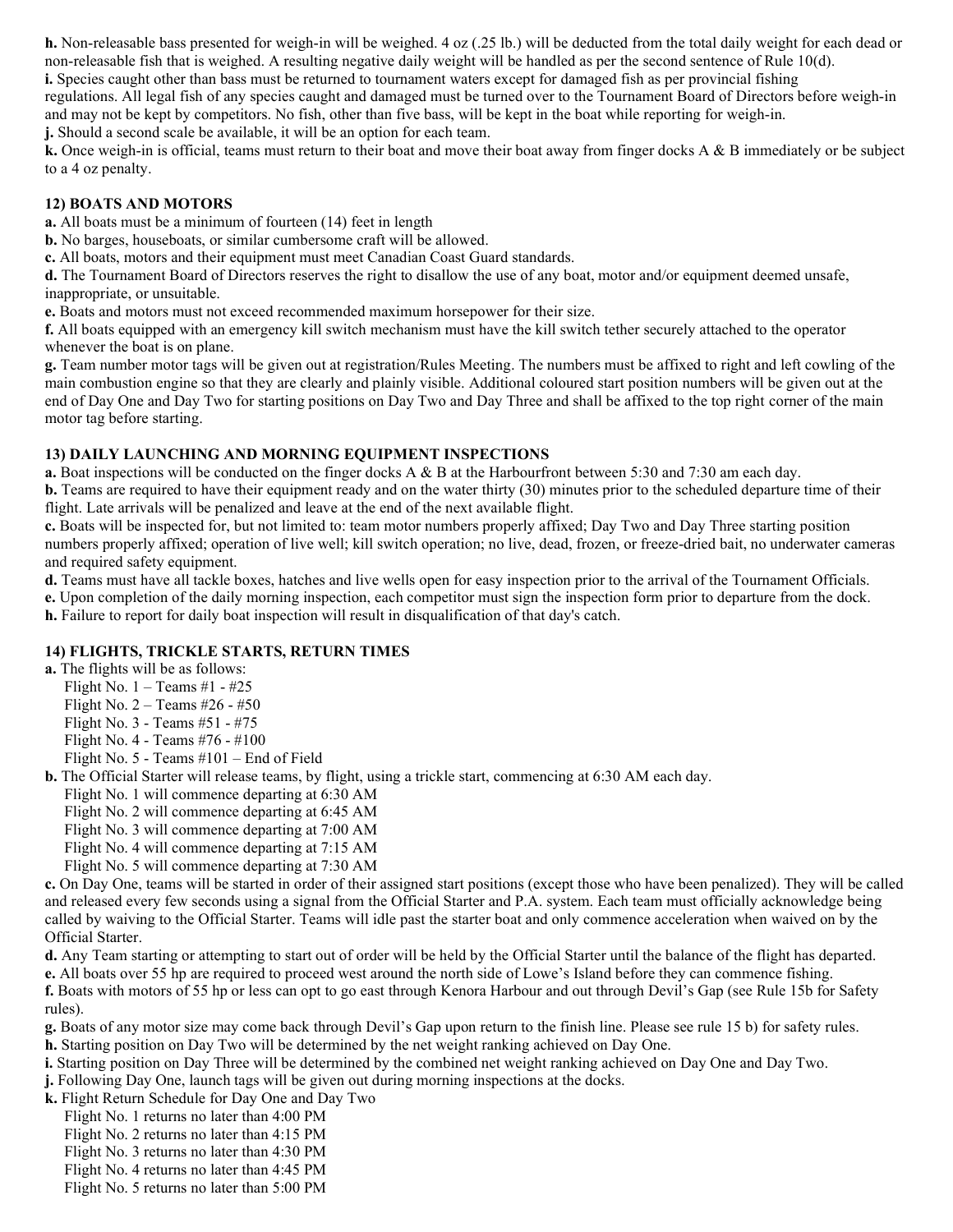h. Non-releasable bass presented for weigh-in will be weighed. 4 oz (.25 lb.) will be deducted from the total daily weight for each dead or non-releasable fish that is weighed. A resulting negative daily weight will be handled as per the second sentence of Rule 10(d).

i. Species caught other than bass must be returned to tournament waters except for damaged fish as per provincial fishing

regulations. All legal fish of any species caught and damaged must be turned over to the Tournament Board of Directors before weigh-in and may not be kept by competitors. No fish, other than five bass, will be kept in the boat while reporting for weigh-in.

j. Should a second scale be available, it will be an option for each team.

k. Once weigh-in is official, teams must return to their boat and move their boat away from finger docks A & B immediately or be subject to a 4 oz penalty.

# 12) BOATS AND MOTORS

a. All boats must be a minimum of fourteen (14) feet in length

b. No barges, houseboats, or similar cumbersome craft will be allowed.

c. All boats, motors and their equipment must meet Canadian Coast Guard standards.

d. The Tournament Board of Directors reserves the right to disallow the use of any boat, motor and/or equipment deemed unsafe, inappropriate, or unsuitable.

e. Boats and motors must not exceed recommended maximum horsepower for their size.

f. All boats equipped with an emergency kill switch mechanism must have the kill switch tether securely attached to the operator whenever the boat is on plane.

g. Team number motor tags will be given out at registration/Rules Meeting. The numbers must be affixed to right and left cowling of the main combustion engine so that they are clearly and plainly visible. Additional coloured start position numbers will be given out at the end of Day One and Day Two for starting positions on Day Two and Day Three and shall be affixed to the top right corner of the main motor tag before starting.

# 13) DAILY LAUNCHING AND MORNING EQUIPMENT INSPECTIONS

a. Boat inspections will be conducted on the finger docks A & B at the Harbourfront between 5:30 and 7:30 am each day.

b. Teams are required to have their equipment ready and on the water thirty (30) minutes prior to the scheduled departure time of their flight. Late arrivals will be penalized and leave at the end of the next available flight.

c. Boats will be inspected for, but not limited to: team motor numbers properly affixed; Day Two and Day Three starting position numbers properly affixed; operation of live well; kill switch operation; no live, dead, frozen, or freeze-dried bait, no underwater cameras and required safety equipment.

d. Teams must have all tackle boxes, hatches and live wells open for easy inspection prior to the arrival of the Tournament Officials.

e. Upon completion of the daily morning inspection, each competitor must sign the inspection form prior to departure from the dock. h. Failure to report for daily boat inspection will result in disqualification of that day's catch.

# 14) FLIGHTS, TRICKLE STARTS, RETURN TIMES

a. The flights will be as follows:

- Flight No.  $1 -$ Teams #1 #25
- Flight No.  $2 -$  Teams #26 #50
- Flight No. 3 Teams #51 #75
- Flight No. 4 Teams #76 #100
- Flight No. 5 Teams #101 End of Field

b. The Official Starter will release teams, by flight, using a trickle start, commencing at 6:30 AM each day.

- Flight No. 1 will commence departing at 6:30 AM
- Flight No. 2 will commence departing at 6:45 AM
- Flight No. 3 will commence departing at 7:00 AM
- Flight No. 4 will commence departing at 7:15 AM
- Flight No. 5 will commence departing at 7:30 AM

c. On Day One, teams will be started in order of their assigned start positions (except those who have been penalized). They will be called and released every few seconds using a signal from the Official Starter and P.A. system. Each team must officially acknowledge being called by waiving to the Official Starter. Teams will idle past the starter boat and only commence acceleration when waived on by the Official Starter.

d. Any Team starting or attempting to start out of order will be held by the Official Starter until the balance of the flight has departed.

e. All boats over 55 hp are required to proceed west around the north side of Lowe's Island before they can commence fishing.

f. Boats with motors of 55 hp or less can opt to go east through Kenora Harbour and out through Devil's Gap (see Rule 15b for Safety rules).

- g. Boats of any motor size may come back through Devil's Gap upon return to the finish line. Please see rule 15 b) for safety rules.
- h. Starting position on Day Two will be determined by the net weight ranking achieved on Day One.
- i. Starting position on Day Three will be determined by the combined net weight ranking achieved on Day One and Day Two.
- j. Following Day One, launch tags will be given out during morning inspections at the docks.
- k. Flight Return Schedule for Day One and Day Two
- Flight No. 1 returns no later than 4:00 PM
	- Flight No. 2 returns no later than 4:15 PM
	- Flight No. 3 returns no later than 4:30 PM
	- Flight No. 4 returns no later than 4:45 PM
	- Flight No. 5 returns no later than 5:00 PM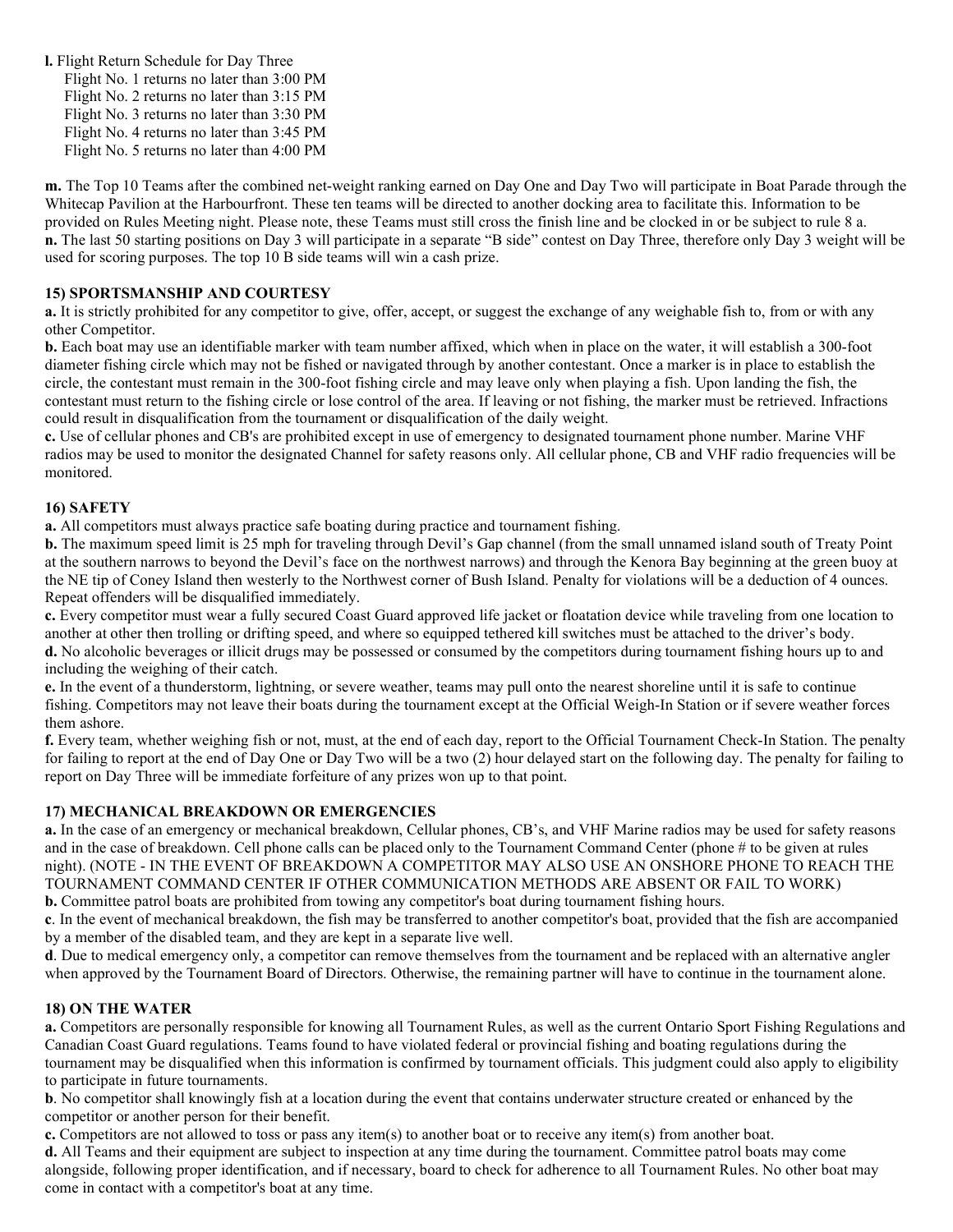l. Flight Return Schedule for Day Three Flight No. 1 returns no later than 3:00 PM Flight No. 2 returns no later than 3:15 PM Flight No. 3 returns no later than 3:30 PM Flight No. 4 returns no later than 3:45 PM Flight No. 5 returns no later than 4:00 PM

m. The Top 10 Teams after the combined net-weight ranking earned on Day One and Day Two will participate in Boat Parade through the Whitecap Pavilion at the Harbourfront. These ten teams will be directed to another docking area to facilitate this. Information to be provided on Rules Meeting night. Please note, these Teams must still cross the finish line and be clocked in or be subject to rule 8 a. n. The last 50 starting positions on Day 3 will participate in a separate "B side" contest on Day Three, therefore only Day 3 weight will be used for scoring purposes. The top 10 B side teams will win a cash prize.

# 15) SPORTSMANSHIP AND COURTESY

a. It is strictly prohibited for any competitor to give, offer, accept, or suggest the exchange of any weighable fish to, from or with any other Competitor.

b. Each boat may use an identifiable marker with team number affixed, which when in place on the water, it will establish a 300-foot diameter fishing circle which may not be fished or navigated through by another contestant. Once a marker is in place to establish the circle, the contestant must remain in the 300-foot fishing circle and may leave only when playing a fish. Upon landing the fish, the contestant must return to the fishing circle or lose control of the area. If leaving or not fishing, the marker must be retrieved. Infractions could result in disqualification from the tournament or disqualification of the daily weight.

c. Use of cellular phones and CB's are prohibited except in use of emergency to designated tournament phone number. Marine VHF radios may be used to monitor the designated Channel for safety reasons only. All cellular phone, CB and VHF radio frequencies will be monitored.

# 16) SAFETY

a. All competitors must always practice safe boating during practice and tournament fishing.

b. The maximum speed limit is 25 mph for traveling through Devil's Gap channel (from the small unnamed island south of Treaty Point at the southern narrows to beyond the Devil's face on the northwest narrows) and through the Kenora Bay beginning at the green buoy at the NE tip of Coney Island then westerly to the Northwest corner of Bush Island. Penalty for violations will be a deduction of 4 ounces. Repeat offenders will be disqualified immediately.

c. Every competitor must wear a fully secured Coast Guard approved life jacket or floatation device while traveling from one location to another at other then trolling or drifting speed, and where so equipped tethered kill switches must be attached to the driver's body.

d. No alcoholic beverages or illicit drugs may be possessed or consumed by the competitors during tournament fishing hours up to and including the weighing of their catch.

e. In the event of a thunderstorm, lightning, or severe weather, teams may pull onto the nearest shoreline until it is safe to continue fishing. Competitors may not leave their boats during the tournament except at the Official Weigh-In Station or if severe weather forces them ashore.

f. Every team, whether weighing fish or not, must, at the end of each day, report to the Official Tournament Check-In Station. The penalty for failing to report at the end of Day One or Day Two will be a two (2) hour delayed start on the following day. The penalty for failing to report on Day Three will be immediate forfeiture of any prizes won up to that point.

#### 17) MECHANICAL BREAKDOWN OR EMERGENCIES

a. In the case of an emergency or mechanical breakdown, Cellular phones, CB's, and VHF Marine radios may be used for safety reasons and in the case of breakdown. Cell phone calls can be placed only to the Tournament Command Center (phone # to be given at rules night). (NOTE - IN THE EVENT OF BREAKDOWN A COMPETITOR MAY ALSO USE AN ONSHORE PHONE TO REACH THE TOURNAMENT COMMAND CENTER IF OTHER COMMUNICATION METHODS ARE ABSENT OR FAIL TO WORK) b. Committee patrol boats are prohibited from towing any competitor's boat during tournament fishing hours.

c. In the event of mechanical breakdown, the fish may be transferred to another competitor's boat, provided that the fish are accompanied

by a member of the disabled team, and they are kept in a separate live well.

d. Due to medical emergency only, a competitor can remove themselves from the tournament and be replaced with an alternative angler when approved by the Tournament Board of Directors. Otherwise, the remaining partner will have to continue in the tournament alone.

#### 18) ON THE WATER

a. Competitors are personally responsible for knowing all Tournament Rules, as well as the current Ontario Sport Fishing Regulations and Canadian Coast Guard regulations. Teams found to have violated federal or provincial fishing and boating regulations during the tournament may be disqualified when this information is confirmed by tournament officials. This judgment could also apply to eligibility to participate in future tournaments.

b. No competitor shall knowingly fish at a location during the event that contains underwater structure created or enhanced by the competitor or another person for their benefit.

c. Competitors are not allowed to toss or pass any item(s) to another boat or to receive any item(s) from another boat.

d. All Teams and their equipment are subject to inspection at any time during the tournament. Committee patrol boats may come alongside, following proper identification, and if necessary, board to check for adherence to all Tournament Rules. No other boat may come in contact with a competitor's boat at any time.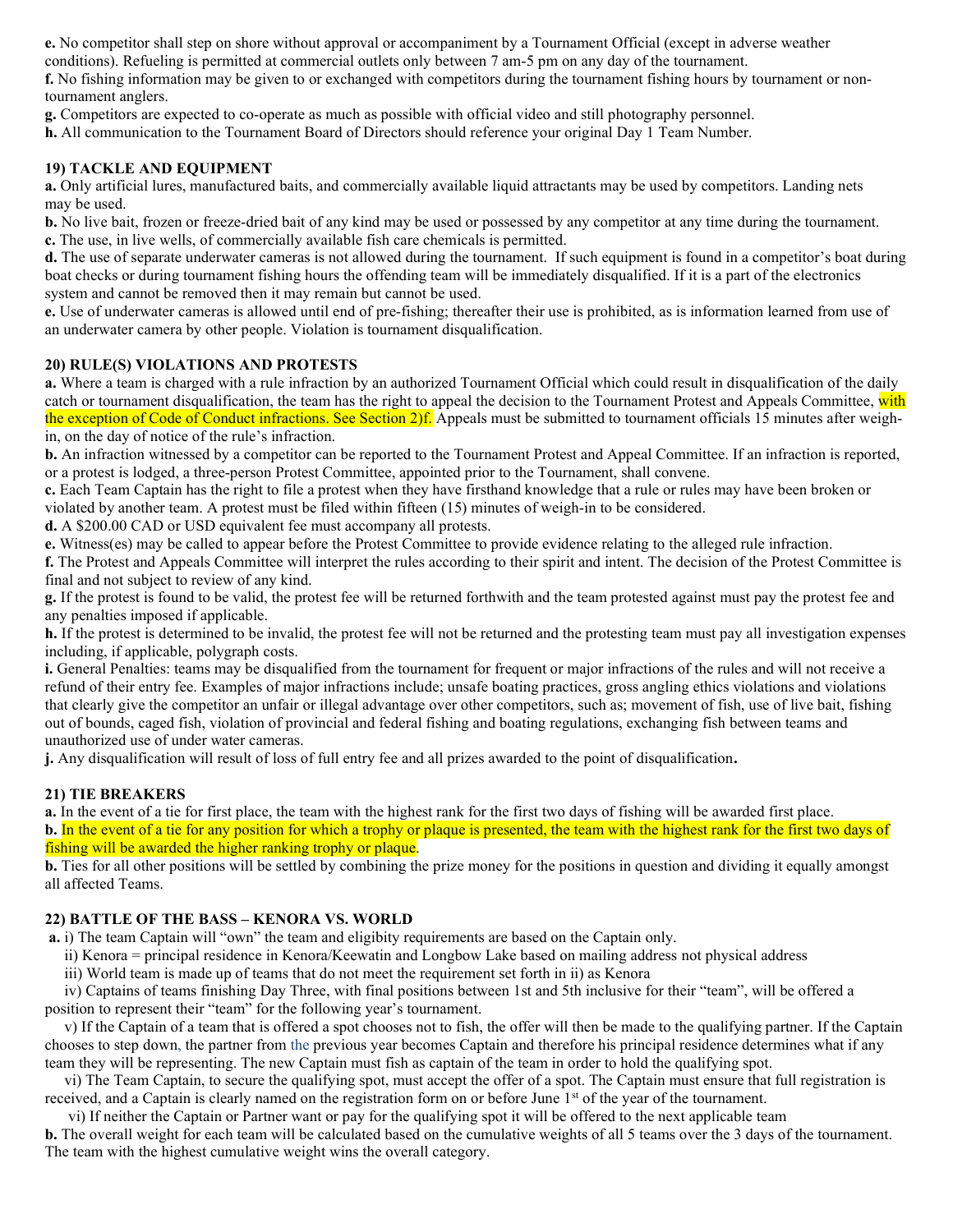e. No competitor shall step on shore without approval or accompaniment by a Tournament Official (except in adverse weather

conditions). Refueling is permitted at commercial outlets only between 7 am-5 pm on any day of the tournament.

f. No fishing information may be given to or exchanged with competitors during the tournament fishing hours by tournament or nontournament anglers.

g. Competitors are expected to co-operate as much as possible with official video and still photography personnel.

h. All communication to the Tournament Board of Directors should reference your original Day 1 Team Number.

#### 19) TACKLE AND EQUIPMENT

a. Only artificial lures, manufactured baits, and commercially available liquid attractants may be used by competitors. Landing nets may be used.

b. No live bait, frozen or freeze-dried bait of any kind may be used or possessed by any competitor at any time during the tournament. c. The use, in live wells, of commercially available fish care chemicals is permitted.

d. The use of separate underwater cameras is not allowed during the tournament. If such equipment is found in a competitor's boat during boat checks or during tournament fishing hours the offending team will be immediately disqualified. If it is a part of the electronics system and cannot be removed then it may remain but cannot be used.

e. Use of underwater cameras is allowed until end of pre-fishing; thereafter their use is prohibited, as is information learned from use of an underwater camera by other people. Violation is tournament disqualification.

# 20) RULE(S) VIOLATIONS AND PROTESTS

a. Where a team is charged with a rule infraction by an authorized Tournament Official which could result in disqualification of the daily catch or tournament disqualification, the team has the right to appeal the decision to the Tournament Protest and Appeals Committee, with the exception of Code of Conduct infractions. See Section 2)f. Appeals must be submitted to tournament officials 15 minutes after weighin, on the day of notice of the rule's infraction.

b. An infraction witnessed by a competitor can be reported to the Tournament Protest and Appeal Committee. If an infraction is reported, or a protest is lodged, a three-person Protest Committee, appointed prior to the Tournament, shall convene.

c. Each Team Captain has the right to file a protest when they have firsthand knowledge that a rule or rules may have been broken or violated by another team. A protest must be filed within fifteen (15) minutes of weigh-in to be considered.

d. A \$200.00 CAD or USD equivalent fee must accompany all protests.

e. Witness(es) may be called to appear before the Protest Committee to provide evidence relating to the alleged rule infraction.

f. The Protest and Appeals Committee will interpret the rules according to their spirit and intent. The decision of the Protest Committee is final and not subject to review of any kind.

g. If the protest is found to be valid, the protest fee will be returned forthwith and the team protested against must pay the protest fee and any penalties imposed if applicable.

h. If the protest is determined to be invalid, the protest fee will not be returned and the protesting team must pay all investigation expenses including, if applicable, polygraph costs.

i. General Penalties: teams may be disqualified from the tournament for frequent or major infractions of the rules and will not receive a refund of their entry fee. Examples of major infractions include; unsafe boating practices, gross angling ethics violations and violations that clearly give the competitor an unfair or illegal advantage over other competitors, such as; movement of fish, use of live bait, fishing out of bounds, caged fish, violation of provincial and federal fishing and boating regulations, exchanging fish between teams and unauthorized use of under water cameras.

j. Any disqualification will result of loss of full entry fee and all prizes awarded to the point of disqualification.

#### 21) TIE BREAKERS

a. In the event of a tie for first place, the team with the highest rank for the first two days of fishing will be awarded first place. b. In the event of a tie for any position for which a trophy or plaque is presented, the team with the highest rank for the first two days of fishing will be awarded the higher ranking trophy or plaque.

b. Ties for all other positions will be settled by combining the prize money for the positions in question and dividing it equally amongst all affected Teams.

#### 22) BATTLE OF THE BASS – KENORA VS. WORLD

a. i) The team Captain will "own" the team and eligibity requirements are based on the Captain only.

ii) Kenora = principal residence in Kenora/Keewatin and Longbow Lake based on mailing address not physical address

iii) World team is made up of teams that do not meet the requirement set forth in ii) as Kenora

 iv) Captains of teams finishing Day Three, with final positions between 1st and 5th inclusive for their "team", will be offered a position to represent their "team" for the following year's tournament.

 v) If the Captain of a team that is offered a spot chooses not to fish, the offer will then be made to the qualifying partner. If the Captain chooses to step down, the partner from the previous year becomes Captain and therefore his principal residence determines what if any team they will be representing. The new Captain must fish as captain of the team in order to hold the qualifying spot.

 vi) The Team Captain, to secure the qualifying spot, must accept the offer of a spot. The Captain must ensure that full registration is received, and a Captain is clearly named on the registration form on or before June 1<sup>st</sup> of the year of the tournament.

vi) If neither the Captain or Partner want or pay for the qualifying spot it will be offered to the next applicable team

b. The overall weight for each team will be calculated based on the cumulative weights of all 5 teams over the 3 days of the tournament. The team with the highest cumulative weight wins the overall category.